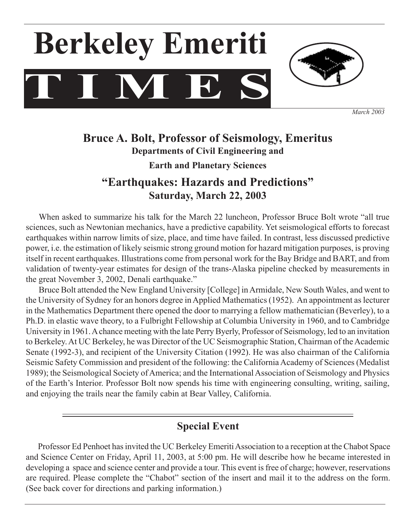



*March 2003*

## **Bruce A. Bolt, Professor of Seismology, Emeritus Departments of Civil Engineering and Earth and Planetary Sciences**

# **"Earthquakes: Hazards and Predictions" Saturday, March 22, 2003**

 When asked to summarize his talk for the March 22 luncheon, Professor Bruce Bolt wrote "all true sciences, such as Newtonian mechanics, have a predictive capability. Yet seismological efforts to forecast earthquakes within narrow limits of size, place, and time have failed. In contrast, less discussed predictive power, i.e. the estimation of likely seismic strong ground motion for hazard mitigation purposes, is proving itself in recent earthquakes. Illustrations come from personal work for the Bay Bridge and BART, and from validation of twenty-year estimates for design of the trans-Alaska pipeline checked by measurements in the great November 3, 2002, Denali earthquake."

 Bruce Bolt attended the New England University [College] inArmidale, New South Wales, and went to the University of Sydney for an honors degree inApplied Mathematics(1952). An appointment aslecturer in the Mathematics Department there opened the door to marrying a fellow mathematician (Beverley), to a Ph.D. in elastic wave theory, to a Fulbright Fellowship at Columbia University in 1960, and to Cambridge University in 1961.Achance meeting with the late Perry Byerly, Professor of Seismology, led to an invitation to Berkeley. At UC Berkeley, he was Director of the UC Seismographic Station, Chairman of the Academic Senate (1992-3), and recipient of the University Citation (1992). He was also chairman of the California Seismic Safety Commission and president of the following: the California Academy of Sciences (Medalist 1989); the Seismological Society of America; and the International Association of Seismology and Physics of the Earth's Interior. Professor Bolt now spends his time with engineering consulting, writing, sailing, and enjoying the trails near the family cabin at Bear Valley, California.

## **Special Event**

Professor Ed Penhoet has invited the UC Berkeley Emeriti Association to a reception at the Chabot Space and Science Center on Friday, April 11, 2003, at 5:00 pm. He will describe how he became interested in developing a space and science center and provide a tour. This event is free of charge; however, reservations are required. Please complete the "Chabot" section of the insert and mail it to the address on the form. (See back cover for directions and parking information.)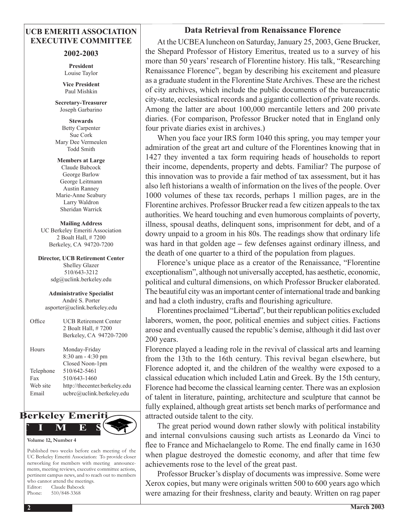## **UCB EMERITI ASSOCIATION EXECUTIVE COMMITTEE**

#### **2002-2003**

**President** Louise Taylor

**Vice President** Paul Mishkin

**Secretary-Treasurer**  Joseph Garbarino

**Stewards** Betty Carpenter Sue Cork Mary Dee Vermeulen Todd Smith

**Members at Large** Claude Babcock George Barlow George Leitmann Austin Ranney Marie-Anne Seabury Larry Waldron Sheridan Warrick

**Mailing Address** UC Berkeley Emeriti Association 2 Boalt Hall, # 7200 Berkeley, CA 94720-7200

**Director, UCB Retirement Center** Shelley Glazer 510/643-3212 sdg@uclink.berkeley.edu

**Administrative Specialist** André S. Porter asporter@uclink.berkeley.edu

| Office    | <b>UCB Retirement Center</b><br>2 Boalt Hall, #7200<br>Berkeley, CA 94720-7200 |
|-----------|--------------------------------------------------------------------------------|
| Hours     | Monday-Friday<br>8:30 am - 4:30 pm<br>Closed Noon-1pm                          |
| Telephone | 510/642-5461                                                                   |
| Fax       | 510/643-1460                                                                   |
| Web site  | http://thecenter.berkeley.edu                                                  |
| Email     | ucbrc@uclink.berkeley.edu                                                      |
|           |                                                                                |



Published two weeks before each meeting of the UC Berkeley Emeriti Association: To provide closer networking for members with meeting announcements, meeting reviews, executive committee actions, pertinent campus news, and to reach out to members who cannot attend the meetings. Editor: Claude Babcock Phone: 510/848-3368

## **Data Retrieval from Renaissance Florence**

At the UCBEA luncheon on Saturday, January 25, 2003, Gene Brucker, the Shepard Professor of History Emeritus, treated us to a survey of his more than 50 years'research of Florentine history. His talk, "Researching Renaissance Florence", began by describing his excitement and pleasure as a graduate student in the Florentine StateArchives. These are the richest of city archives, which include the public documents of the bureaucratic city-state, ecclesiastical records and a gigantic collection of private records. Among the latter are about 100,000 mercantile letters and 200 private diaries. (For comparison, Professor Brucker noted that in England only four private diaries exist in archives.)

 When you face your IRS form 1040 this spring, you may temper your admiration of the great art and culture of the Florentines knowing that in 1427 they invented a tax form requiring heads of households to report their income, dependents, property and debts. Familiar? The purpose of this innovation was to provide a fair method of tax assessment, but it has also left historians a wealth of information on the lives of the people. Over 1000 volumes of these tax records, perhaps 1 million pages, are in the Florentine archives. Professor Brucker read a few citizen appeals to the tax authorities. We heard touching and even humorous complaints of poverty, illness, spousal deaths, delinquent sons, imprisonment for debt, and of a dowry unpaid to a groom in his 80s. The readings show that ordinary life was hard in that golden age **–** few defenses against ordinary illness, and the death of one quarter to a third of the population from plagues.

 Florence's unique place as a creator of the Renaissance, "Florentine exceptionalism", although not universally accepted, has aesthetic, economic, political and cultural dimensions, on which Professor Brucker elaborated. The beautiful city was an important center of international trade and banking and had a cloth industry, crafts and flourishing agriculture.

Florentines proclaimed "Libertad", but their republican politics excluded laborers, women, the poor, political enemies and subject cities. Factions arose and eventually caused the republic's demise, although it did last over 200 years.

Florence played a leading role in the revival of classical arts and learning from the 13th to the 16th century. This revival began elsewhere, but Florence adopted it, and the children of the wealthy were exposed to a classical education which included Latin and Greek. By the 15th century, Florence had become the classical learning center. There was an explosion of talent in literature, painting, architecture and sculpture that cannot be fully explained, although great artists set bench marks of performance and attracted outside talent to the city.

 The great period wound down rather slowly with political instability and internal convulsions causing such artists as Leonardo da Vinci to flee to France and Michaelangelo to Rome. The end finally came in 1630 when plague destroyed the domestic economy, and after that time few achievements rose to the level of the great past.

 Professor Brucker's display of documents was impressive. Some were Xerox copies, but many were originals written 500 to 600 years ago which were amazing for their freshness, clarity and beauty. Written on rag paper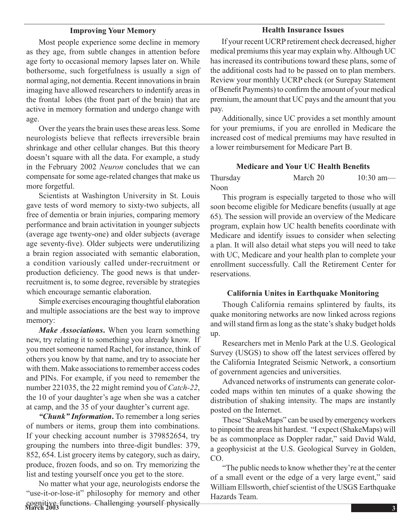#### **Improving Your Memory**

 Most people experience some decline in memory as they age, from subtle changes in attention before age forty to occasional memory lapses later on. While bothersome, such forgetfulness is usually a sign of normal aging, not dementia. Recent innovations in brain imaging have allowed researchers to indentify areas in the frontal lobes (the front part of the brain) that are active in memory formation and undergo change with age.

Over the years the brain uses these areas less. Some neurologists believe that reflects irreversible brain shrinkage and other cellular changes. But this theory doesn't square with all the data. For example, a study in the February 2002 *Neuron* concludes that we can compensate for some age-related changes that make us more forgetful.

 Scientists at Washington University in St. Louis gave tests of word memory to sixty-two subjects, all free of dementia or brain injuries, comparing memory performance and brain activitation in younger subjects (average age twenty-one) and older subjects (average age seventy-five). Older subjects were underutilizing a brain region associated with semantic elaboration, a condition variously called under-recruitment or production deficiency. The good news is that underrecruitment is, to some degree, reversible by strategies which encourage semantic elaboration.

 Simple exercises encouraging thoughtful elaboration and multiple associations are the best way to improve memory:

*Make Associations***.** When you learn something new, try relating it to something you already know. If you meet someone named Rachel, for instance, think of others you know by that name, and try to associate her with them. Make associations to remember access codes and PINs. For example, if you need to remember the number 221035, the 22 might remind you of *Catch-22*, the 10 of your daughter's age when she was a catcher at camp, and the 35 of your daughter's current age.

*"Chunk" Information***.** To remember a long series of numbers or items, group them into combinations. If your checking account number is 379852654, try grouping the numbers into three-digit bundles: 379, 852, 654. List grocery items by category, such as dairy, produce, frozen foods, and so on. Try memorizing the list and testing yourself once you get to the store.

**March 2003** cognitive functions. Challenging yourself physically No matter what your age, neurologists endorse the "use-it-or-lose-it" philosophy for memory and other

#### **Health Insurance Issues**

 If your recent UCRP retirement check decreased, higher medical premiums this year may explain why. Although UC has increased its contributions toward these plans, some of the additional costs had to be passed on to plan members. Review your monthly UCRP check (or Surepay Statement of Benefit Payments) to confirm the amount of your medical premium, the amount that UC pays and the amount that you pay.

 Additionally, since UC provides a set monthly amount for your premiums, if you are enrolled in Medicare the increased cost of medical premiums may have resulted in a lower reimbursement for Medicare Part B.

#### **Medicare and Your UC Health Benefits**

| Thursday | March 20 | $10:30$ am- |
|----------|----------|-------------|
| Noon     |          |             |

 This program is especially targeted to those who will soon become eligible for Medicare benefits (usually at age 65). The session will provide an overview of the Medicare program, explain how UC health benefits coordinate with Medicare and identify issues to consider when selecting a plan. It will also detail what steps you will need to take with UC, Medicare and your health plan to complete your enrollment successfully. Call the Retirement Center for reservations.

#### **California Unites in Earthquake Monitoring**

 Though California remains splintered by faults, its quake monitoring networks are now linked across regions and will stand firm as long as the state's shaky budget holds up.

 Researchers met in Menlo Park at the U.S. Geological Survey (USGS) to show off the latest services offered by the California Integrated Seismic Network, a consortium of government agencies and universities.

 Advanced networks of instruments can generate colorcoded maps within ten minutes of a quake showing the distribution of shaking intensity. The maps are instantly posted on the Internet.

 These "ShakeMaps" can be used by emergency workers to pinpoint the areas hit hardest. "I expect (ShakeMaps) will be as commonplace as Doppler radar," said David Wald, a geophysicist at the U.S. Geological Survey in Golden, CO.

"The public needs to know whether they're at the center of a small event or the edge of a very large event," said William Ellsworth, chief scientist of the USGS Earthquake Hazards Team.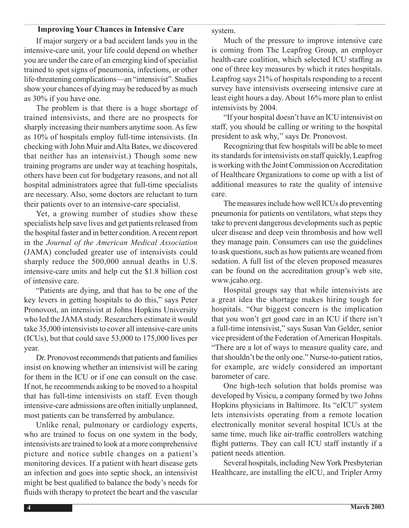## **Improving Your Chances in Intensive Care**

 If major surgery or a bad accident lands you in the intensive-care unit, your life could depend on whether you are under the care of an emerging kind of specialist trained to spot signs of pneumonia, infections, or other life-threatening complications—an "intensivist". Studies show your chances of dying may be reduced by as much as 30% if you have one.

 The problem is that there is a huge shortage of trained intensivists, and there are no prospects for sharply increasing their numbers anytime soon. As few as 10% of hospitals employ full-time intensivists. (In checking with John Muir andAlta Bates, we discovered that neither has an intensivist.) Though some new training programs are under way at teaching hospitals, others have been cut for budgetary reasons, and not all hospital administrators agree that full-time specialists are necessary. Also, some doctors are reluctant to turn their patients over to an intensive-care specialist.

 Yet, a growing number of studies show these specialists help save lives and get patients released from the hospital faster and in better condition. A recent report in the *Journal of the American Medical Association* (JAMA) concluded greater use of intensivists could sharply reduce the 500,000 annual deaths in U.S. intensive-care units and help cut the \$1.8 billion cost of intensive care.

 "Patients are dying, and that has to be one of the key levers in getting hospitals to do this," says Peter Pronovost, an intensivist at Johns Hopkins University who led the JAMA study. Researchers estimate it would take 35,000 intensivists to cover all intensive-care units (ICUs), but that could save 53,000 to 175,000 lives per year.

Dr. Pronovost recommends that patients and families insist on knowing whether an intensivist will be caring for them in the ICU or if one can consult on the case. If not, he recommends asking to be moved to a hospital that has full-time intensivists on staff. Even though intensive-care admissions are often initially unplanned, most patients can be transferred by ambulance.

 Unlike renal, pulmonary or cardiology experts, who are trained to focus on one system in the body, intensivists are trained to look at a more comprehensive picture and notice subtle changes on a patient's monitoring devices. If a patient with heart disease gets an infection and goes into septic shock, an intensivist might be best qualified to balance the body's needs for fluids with therapy to protect the heart and the vascular system.

 Much of the pressure to improve intensive care is coming from The Leapfrog Group, an employer health-care coalition, which selected ICU staffing as one of three key measures by which it rates hospitals. Leapfrog says 21% of hospitals responding to a recent survey have intensivists overseeing intensive care at least eight hours a day. About 16% more plan to enlist intensivists by 2004.

 "If your hospital doesn't have an ICU intensivist on staff, you should be calling or writing to the hospital president to ask why,''says Dr. Pronovost.

 Recognizing that few hospitals will be able to meet its standards for intensivists on staff quickly, Leapfrog is working with the Joint Commission on Accreditation of Healthcare Organizations to come up with a list of additional measures to rate the quality of intensive care.

The measures include how well ICUs do preventing pneumonia for patients on ventilators, what steps they take to prevent dangerous developments such as peptic ulcer disease and deep vein thrombosis and how well they manage pain. Consumers can use the guidelines to ask questions, such as how patients are weaned from sedation. A full list of the eleven proposed measures can be found on the accreditation group's web site, www.jcaho.org.

 Hospital groups say that while intensivists are a great idea the shortage makes hiring tough for hospitals. "Our biggest concern is the implication that you won't get good care in an ICU if there isn't a full-time intensivist," says Susan Van Gelder, senior vice president of the Federation of American Hospitals. "There are a lot of ways to measure quality care, and that shouldn't be the only one." Nurse-to-patient ratios, for example, are widely considered an important barometer of care.

 One high-tech solution that holds promise was developed by Visicu, a company formed by two Johns Hopkins physicians in Baltimore. Its "eICU" system lets intensivists operating from a remote location electronically monitor several hospital ICUs at the same time, much like air-traffic controllers watching flight patterns. They can call ICU staff instantly if a patient needs attention.

 Several hospitals, including NewYork Presbyterian Healthcare, are installing the eICU, and Tripler Army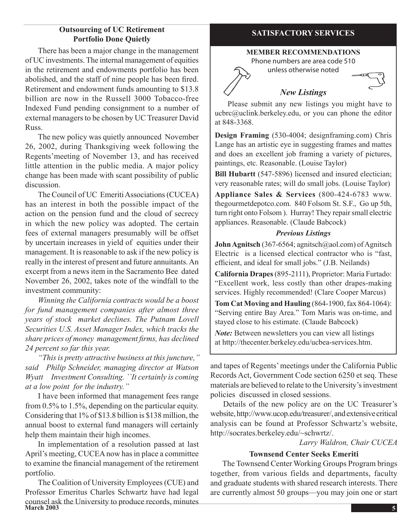## **Outsourcing of UC Retirement Portfolio Done Quietly**

 There has been a major change in the management of UCinvestments.The internal management of equities in the retirement and endowments portfolio has been abolished, and the staff of nine people has been fired. Retirement and endowment funds amounting to \$13.8 billion are now in the Russell 3000 Tobacco-free Indexed Fund pending consignment to a number of external managers to be chosen by UC Treasurer David Russ.

 The new policy was quietly announced November 26, 2002, during Thanksgiving week following the Regents'meeting of November 13, and has received little attention in the public media. A major policy change has been made with scant possibility of public discussion.

The Council of UC Emeriti Associations (CUCEA) has an interest in both the possible impact of the action on the pension fund and the cloud of secrecy in which the new policy was adopted. The certain fees of external managers presumably will be offset by uncertain increases in yield of equities under their management. It is reasonable to ask if the new policy is really in the interest of present and future annuitants.An excerpt from a news item in the Sacramento Bee dated November 26, 2002, takes note of the windfall to the investment community:

*Winning the California contracts would be a boost for fund management companies after almost three years of stock market declines. The Putnam Lovell Securities U.S. Asset Manager Index, which tracks the share prices of money management firms, has declined 24 percent so far this year.*

*"This is pretty attractive business at this juncture,'' said Philip Schneider, managing director at Watson Wyatt Investment Consulting. ``It certainly is coming at a low point for the industry.''*

 I have been informed that management fees range from 0.5% to 1.5%, depending on the particular equity. Considering that 1% of \$13.8 billion is \$138 million, the annual boost to external fund managers will certainly help them maintain their high incomes.

 In implementation of a resolution passed at last April's meeting, CUCEA now has in place a committee to examine the financial management of the retirement portfolio.

March 2003 5 The Coalition of University Employees (CUE) and Professor Emeritus Charles Schwartz have had legal counsel ask the University to produce records, minutes

## **SATISFACTORY SERVICES**

#### **MEMBER RECOMMENDATIONS**

Phone numbers are area code 510 unless otherwise noted



## *New Listings*

Please submit any new listings you might have to ucbrc@uclink.berkeley.edu, or you can phone the editor at 848-3368.

**Design Framing** (530-4004; designframing.com) Chris Lange has an artistic eye in suggesting frames and mattes and does an excellent job framing a variety of pictures, paintings, etc. Reasonable. (Louise Taylor)

**Bill Hubartt** (547-5896) licensed and insured electician; very reasonable rates; will do small jobs. (Louise Taylor)

**Appliance Sales & Services** (800-424-6783 www. thegourmetdepotco.com. 840 Folsom St. S.F., Go up 5th, turn right onto Folsom ). Hurray! They repair small electric appliances. Reasonable. (Claude Babcock)

#### *Previous Listings*

**John Agnitsch** (367-6564; agnitsch@aol.com) of Agnitsch Electric is a licensed electical contractor who is "fast, efficient, and ideal for small jobs." (J.B. Neilands)

**California Drapes**(895-2111), Proprietor: Maria Furtado: "Excellent work, less costly than other drapes-making services. Highly recommended! (Clare Cooper Marcus)

**Tom Cat Moving and Hauling** (864-1900, fax 864-1064): "Serving entire Bay Area." Tom Maris was on-time, and stayed close to his estimate. (Claude Babcock)

*Note:* Between newsletters you can view all listings at http://thecenter.berkeley.edu/ucbea-services.htm.

and tapes of Regents'meetings under the California Public Records Act, Government Code section 6250 et seq. These materials are believed to relate to the University's investment policies discussed in closed sessions.

 Details of the new policy are on the UC Treasurer's website,http://www.ucop.edu/treasurer/,andextensivecritical analysis can be found at Professor Schwartz's website, http://socrates.berkeley.edu/~schwrtz/.

*Larry Waldron, Chair CUCEA*

## **Townsend Center Seeks Emeriti**

 The Townsend Center Working Groups Program brings together, from various fields and departments, faculty and graduate students with shared research interests. There are currently almost 50 groups—you may join one or start